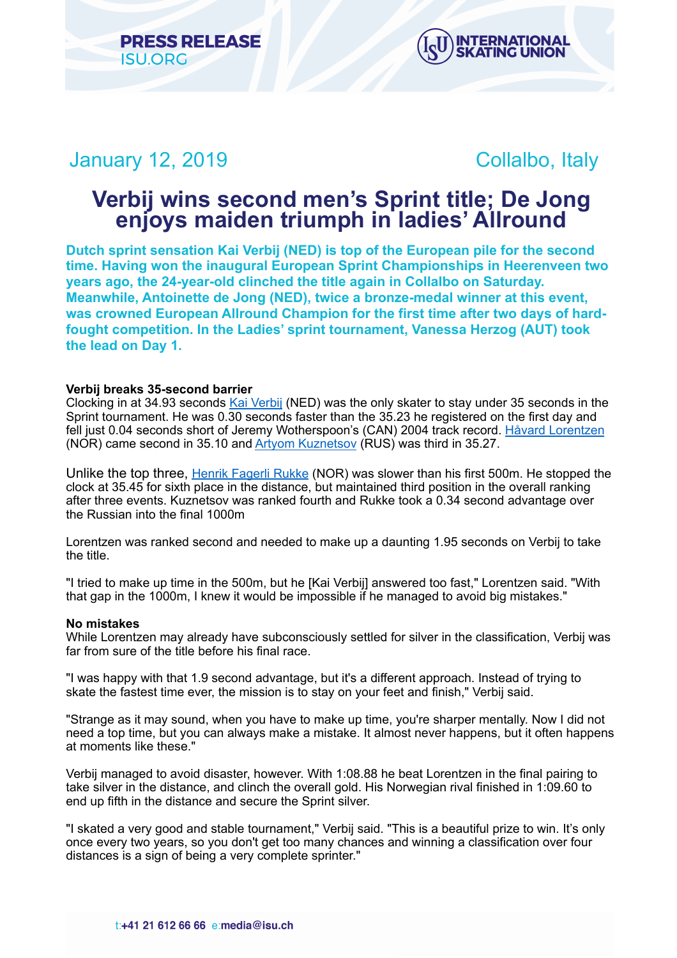



# January 12, 2019 **Collaider Collaider** Collaider Collaider

# **Verbij wins second men's Sprint title; De Jong enjoys maiden triumph in ladies' Allround**

**Dutch sprint sensation Kai Verbij (NED) is top of the European pile for the second time. Having won the inaugural European Sprint Championships in Heerenveen two years ago, the 24-year-old clinched the title again in Collalbo on Saturday. Meanwhile, Antoinette de Jong (NED), twice a bronze-medal winner at this event, was crowned European Allround Champion for the first time after two days of hardfought competition. In the Ladies' sprint tournament, Vanessa Herzog (AUT) took the lead on Day 1.** 

# **Verbij breaks 35-second barrier**

Clocking in at 34.93 seconds [Kai Verbij](https://isu.html.infostradasports.com/asp/redirect/isu.asp?page=PERSONBIO_SS&personid=816572&sportid=103&cache=2) (NED) was the only skater to stay under 35 seconds in the Sprint tournament. He was 0.30 seconds faster than the 35.23 he registered on the first day and fell just 0.04 seconds short of Jeremy Wotherspoon's (CAN) 2004 track record. [Håvard Lorentzen](https://isu.html.infostradasports.com/asp/redirect/isu.asp?page=PERSONBIO_SS&personid=751032&sportid=103&cache=2) (NOR) came second in 35.10 and [Artyom Kuznetsov](https://isu.html.infostradasports.com/asp/redirect/isu.asp?page=PERSONBIO_SS&personid=358117&sportid=103&cache=2) (RUS) was third in 35.27.

Unlike the top three, [Henrik Fagerli Rukke](https://isu.html.infostradasports.com/asp/redirect/isu.asp?page=PERSONBIO_SS&personid=1023286&sportid=103&cache=2) (NOR) was slower than his first 500m. He stopped the clock at 35.45 for sixth place in the distance, but maintained third position in the overall ranking after three events. Kuznetsov was ranked fourth and Rukke took a 0.34 second advantage over the Russian into the final 1000m

Lorentzen was ranked second and needed to make up a daunting 1.95 seconds on Verbij to take the title.

"I tried to make up time in the 500m, but he [Kai Verbij] answered too fast," Lorentzen said. "With that gap in the 1000m, I knew it would be impossible if he managed to avoid big mistakes."

# **No mistakes**

While Lorentzen may already have subconsciously settled for silver in the classification, Verbij was far from sure of the title before his final race.

"I was happy with that 1.9 second advantage, but it's a different approach. Instead of trying to skate the fastest time ever, the mission is to stay on your feet and finish," Verbij said.

"Strange as it may sound, when you have to make up time, you're sharper mentally. Now I did not need a top time, but you can always make a mistake. It almost never happens, but it often happens at moments like these."

Verbij managed to avoid disaster, however. With 1:08.88 he beat Lorentzen in the final pairing to take silver in the distance, and clinch the overall gold. His Norwegian rival finished in 1:09.60 to end up fifth in the distance and secure the Sprint silver.

"I skated a very good and stable tournament," Verbij said. "This is a beautiful prize to win. It's only once every two years, so you don't get too many chances and winning a classification over four distances is a sign of being a very complete sprinter."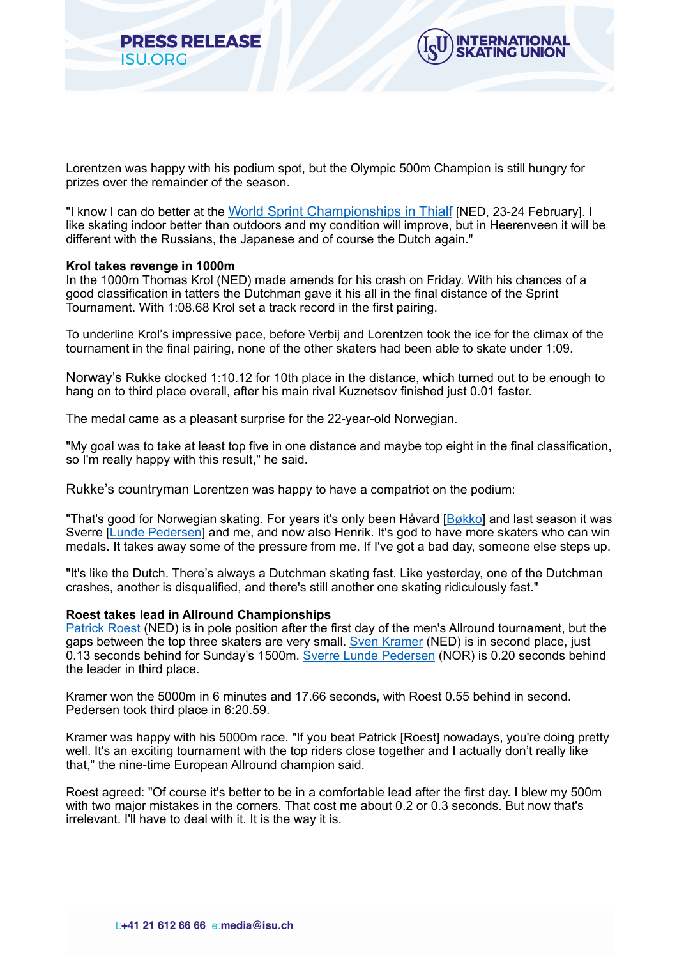



Lorentzen was happy with his podium spot, but the Olympic 500m Champion is still hungry for prizes over the remainder of the season.

"I know I can do better at the [World Sprint Championships in Thialf](https://www.isu.org/speed-skating/events/speed-skating-calendar/eventdetail/11203/-/isu-world-sprint-speed-skating-championships?templateParam=11) [NED, 23-24 February]. I like skating indoor better than outdoors and my condition will improve, but in Heerenveen it will be different with the Russians, the Japanese and of course the Dutch again."

#### **Krol takes revenge in 1000m**

In the 1000m Thomas Krol (NED) made amends for his crash on Friday. With his chances of a good classification in tatters the Dutchman gave it his all in the final distance of the Sprint Tournament. With 1:08.68 Krol set a track record in the first pairing.

To underline Krol's impressive pace, before Verbij and Lorentzen took the ice for the climax of the tournament in the final pairing, none of the other skaters had been able to skate under 1:09.

Norway's Rukke clocked 1:10.12 for 10th place in the distance, which turned out to be enough to hang on to third place overall, after his main rival Kuznetsov finished just 0.01 faster.

The medal came as a pleasant surprise for the 22-year-old Norwegian.

"My goal was to take at least top five in one distance and maybe top eight in the final classification, so I'm really happy with this result," he said.

Rukke's countryman Lorentzen was happy to have a compatriot on the podium:

"That's good for Norwegian skating. For years it's only been Håvard [\[Bøkko\]](https://isu.html.infostradasports.com/asp/redirect/isu.asp?page=PERSONBIO_SS&personid=140820&sportid=103&cache=2) and last season it was Sverre [\[Lunde Pedersen](https://isu.html.infostradasports.com/asp/redirect/isu.asp?page=PERSONBIO_SS&personid=701784&sportid=103&cache=2)] and me, and now also Henrik. It's god to have more skaters who can win medals. It takes away some of the pressure from me. If I've got a bad day, someone else steps up.

"It's like the Dutch. There's always a Dutchman skating fast. Like yesterday, one of the Dutchman crashes, another is disqualified, and there's still another one skating ridiculously fast."

#### **Roest takes lead in Allround Championships**

[Patrick Roest](https://isu.html.infostradasports.com/asp/redirect/isu.asp?page=PERSONBIO_SS&personid=1184564&sportid=103&cache=2) (NED) is in pole position after the first day of the men's Allround tournament, but the gaps between the top three skaters are very small. [Sven Kramer](https://isu.html.infostradasports.com/asp/redirect/isu.asp?page=PERSONBIO_SS&personid=170973&sportid=103&cache=2) (NED) is in second place, just 0.13 seconds behind for Sunday's 1500m. [Sverre Lunde Pedersen](https://isu.html.infostradasports.com/asp/redirect/isu.asp?page=PERSONBIO_SS&personid=701784&sportid=103&cache=2) (NOR) is 0.20 seconds behind the leader in third place.

Kramer won the 5000m in 6 minutes and 17.66 seconds, with Roest 0.55 behind in second. Pedersen took third place in 6:20.59.

Kramer was happy with his 5000m race. "If you beat Patrick [Roest] nowadays, you're doing pretty well. It's an exciting tournament with the top riders close together and I actually don't really like that," the nine-time European Allround champion said.

Roest agreed: "Of course it's better to be in a comfortable lead after the first day. I blew my 500m with two major mistakes in the corners. That cost me about 0.2 or 0.3 seconds. But now that's irrelevant. I'll have to deal with it. It is the way it is.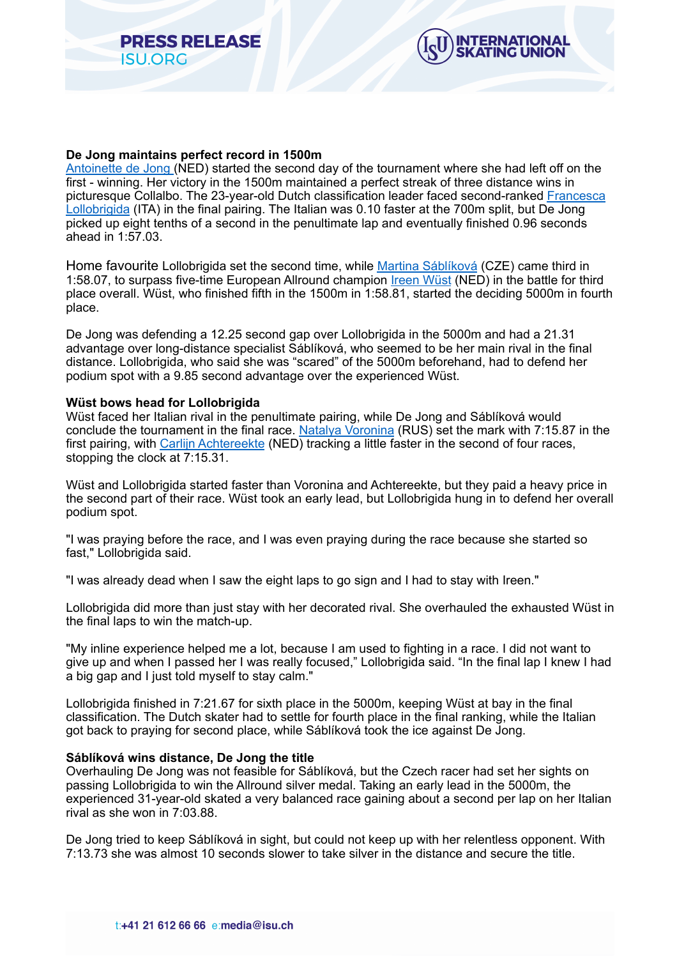



# **De Jong maintains perfect record in 1500m**

[Antoinette de Jong](https://isu.html.infostradasports.com/asp/redirect/isu.asp?page=PERSONBIO_SS&personid=816627&sportid=103&cache=2) (NED) started the second day of the tournament where she had left off on the first - winning. Her victory in the 1500m maintained a perfect streak of three distance wins in picturesque Collalbo. The 23-year-old Dutch classification leader faced second-ranked [Francesca](https://isu.html.infostradasports.com/asp/redirect/isu.asp?page=PERSONBIO_SS&personid=703475&sportid=103&cache=2)  [Lollobrigida](https://isu.html.infostradasports.com/asp/redirect/isu.asp?page=PERSONBIO_SS&personid=703475&sportid=103&cache=2) (ITA) in the final pairing. The Italian was 0.10 faster at the 700m split, but De Jong picked up eight tenths of a second in the penultimate lap and eventually finished 0.96 seconds ahead in 1:57.03.

Home favourite Lollobrigida set the second time, while [Martina Sáblíková](https://isu.html.infostradasports.com/asp/redirect/isu.asp?page=PERSONBIO_SS&personid=210868&sportid=103&cache=2) (CZE) came third in 1:58.07, to surpass five-time European Allround champion [Ireen Wüst](https://isu.html.infostradasports.com/asp/redirect/isu.asp?page=PERSONBIO_SS&personid=222453&sportid=103&cache=2) (NED) in the battle for third place overall. Wüst, who finished fifth in the 1500m in 1:58.81, started the deciding 5000m in fourth place.

De Jong was defending a 12.25 second gap over Lollobrigida in the 5000m and had a 21.31 advantage over long-distance specialist Sáblíková, who seemed to be her main rival in the final distance. Lollobrigida, who said she was "scared" of the 5000m beforehand, had to defend her podium spot with a 9.85 second advantage over the experienced Wüst.

#### **Wüst bows head for Lollobrigida**

Wüst faced her Italian rival in the penultimate pairing, while De Jong and Sáblíková would conclude the tournament in the final race. [Natalya Voronina](https://isu.html.infostradasports.com/asp/redirect/isu.asp?page=PERSONBIO_SS&personid=1246989&sportid=103&cache=2) (RUS) set the mark with 7:15.87 in the first pairing, with [Carlijn Achtereekte](https://isu.html.infostradasports.com/asp/redirect/isu.asp?page=PERSONBIO_SS&personid=218037&sportid=103&cache=2) (NED) tracking a little faster in the second of four races, stopping the clock at 7:15.31.

Wüst and Lollobrigida started faster than Voronina and Achtereekte, but they paid a heavy price in the second part of their race. Wüst took an early lead, but Lollobrigida hung in to defend her overall podium spot.

"I was praying before the race, and I was even praying during the race because she started so fast," Lollobrigida said.

"I was already dead when I saw the eight laps to go sign and I had to stay with Ireen."

Lollobrigida did more than just stay with her decorated rival. She overhauled the exhausted Wüst in the final laps to win the match-up.

"My inline experience helped me a lot, because I am used to fighting in a race. I did not want to give up and when I passed her I was really focused," Lollobrigida said. "In the final lap I knew I had a big gap and I just told myself to stay calm."

Lollobrigida finished in 7:21.67 for sixth place in the 5000m, keeping Wüst at bay in the final classification. The Dutch skater had to settle for fourth place in the final ranking, while the Italian got back to praying for second place, while Sáblíková took the ice against De Jong.

# **Sáblíková wins distance, De Jong the title**

Overhauling De Jong was not feasible for Sáblíková, but the Czech racer had set her sights on passing Lollobrigida to win the Allround silver medal. Taking an early lead in the 5000m, the experienced 31-year-old skated a very balanced race gaining about a second per lap on her Italian rival as she won in 7:03.88.

De Jong tried to keep Sáblíková in sight, but could not keep up with her relentless opponent. With 7:13.73 she was almost 10 seconds slower to take silver in the distance and secure the title.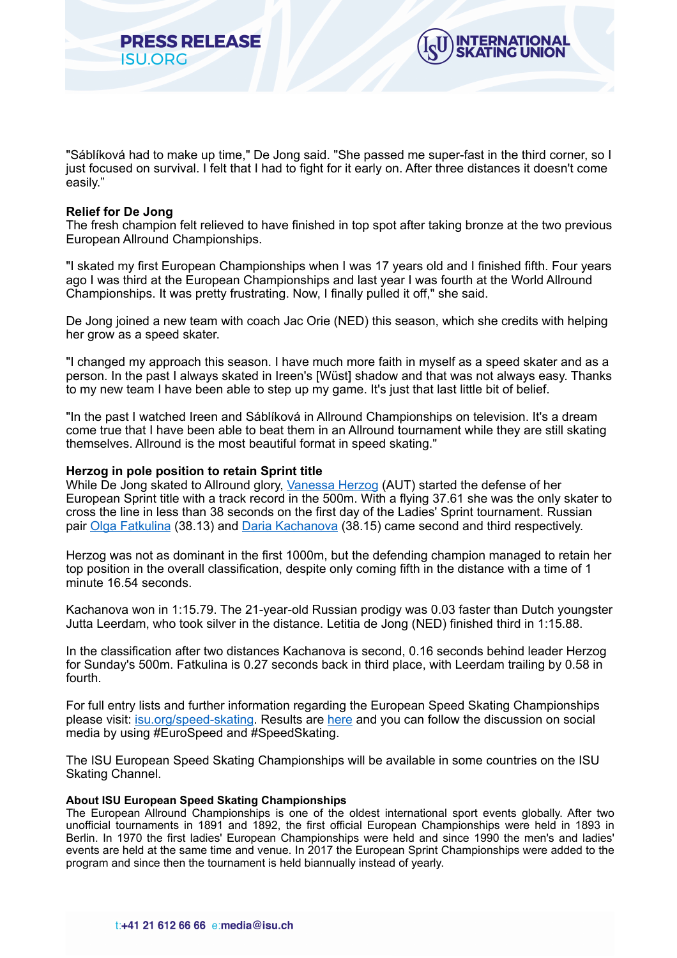"Sáblíková had to make up time," De Jong said. "She passed me super-fast in the third corner, so I just focused on survival. I felt that I had to fight for it early on. After three distances it doesn't come easily."

ITERNATIONAL

#### **Relief for De Jong**

The fresh champion felt relieved to have finished in top spot after taking bronze at the two previous European Allround Championships.

"I skated my first European Championships when I was 17 years old and I finished fifth. Four years ago I was third at the European Championships and last year I was fourth at the World Allround Championships. It was pretty frustrating. Now, I finally pulled it off," she said.

De Jong joined a new team with coach Jac Orie (NED) this season, which she credits with helping her grow as a speed skater.

"I changed my approach this season. I have much more faith in myself as a speed skater and as a person. In the past I always skated in Ireen's [Wüst] shadow and that was not always easy. Thanks to my new team I have been able to step up my game. It's just that last little bit of belief.

"In the past I watched Ireen and Sáblíková in Allround Championships on television. It's a dream come true that I have been able to beat them in an Allround tournament while they are still skating themselves. Allround is the most beautiful format in speed skating."

## **Herzog in pole position to retain Sprint title**

**RESS RELEASE** 

**ISU ORG** 

While De Jong skated to Allround glory, [Vanessa Herzog](https://isu.html.infostradasports.com/asp/redirect/isu.asp?page=PERSONBIO_SS&personid=818550&sportid=103&cache=2) (AUT) started the defense of her European Sprint title with a track record in the 500m. With a flying 37.61 she was the only skater to cross the line in less than 38 seconds on the first day of the Ladies' Sprint tournament. Russian pair [Olga Fatkulina](https://isu.html.infostradasports.com/asp/redirect/isu.asp?page=PERSONBIO_SS&personid=720273&sportid=103&cache=2) (38.13) and [Daria Kachanova](https://isu.html.infostradasports.com/asp/redirect/isu.asp?page=PERSONBIO_SS&personid=1246977&sportid=103&cache=2) (38.15) came second and third respectively.

Herzog was not as dominant in the first 1000m, but the defending champion managed to retain her top position in the overall classification, despite only coming fifth in the distance with a time of 1 minute 16.54 seconds.

Kachanova won in 1:15.79. The 21-year-old Russian prodigy was 0.03 faster than Dutch youngster Jutta Leerdam, who took silver in the distance. Letitia de Jong (NED) finished third in 1:15.88.

In the classification after two distances Kachanova is second, 0.16 seconds behind leader Herzog for Sunday's 500m. Fatkulina is 0.27 seconds back in third place, with Leerdam trailing by 0.58 in fourth.

For full entry lists and further information regarding the European Speed Skating Championships please visit: [isu.org/speed-skating](https://www.isu.org/speed-skating). Results are [here](https://app.isuresults.eu/events) and you can follow the discussion on social media by using #EuroSpeed and #SpeedSkating.

The ISU European Speed Skating Championships will be available in some countries on the ISU Skating Channel.

#### **About ISU European Speed Skating Championships**

The European Allround Championships is one of the oldest international sport events globally. After two unofficial tournaments in 1891 and 1892, the first official European Championships were held in 1893 in Berlin. In 1970 the first ladies' European Championships were held and since 1990 the men's and ladies' events are held at the same time and venue. In 2017 the European Sprint Championships were added to the program and since then the tournament is held biannually instead of yearly.